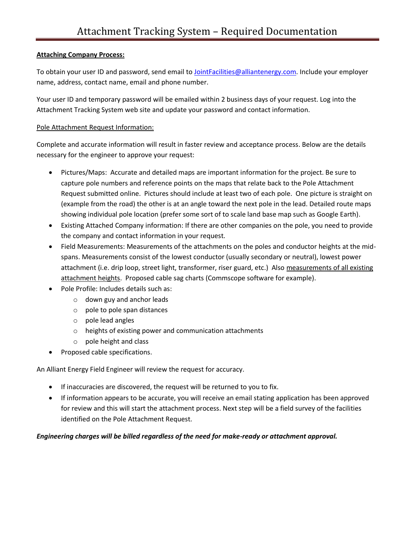## **Attaching Company Process:**

To obtain your user ID and password, send email to JointFacilities[@alliantenergy.com. In](mailto:JointFacilities@alliantenergy.com)clude your employer name, address, contact name, email and phone number.

Your user ID and temporary password will be emailed within 2 business days of your request. Log into the Attachment Tracking System web site and update your password and contact information.

### Pole Attachment Request Information:

Complete and accurate information will result in faster review and acceptance process. Below are the details necessary for the engineer to approve your request:

- Pictures/Maps: Accurate and detailed maps are important information for the project. Be sure to capture pole numbers and reference points on the maps that relate back to the Pole Attachment Request submitted online. Pictures should include at least two of each pole. One picture is straight on (example from the road) the other is at an angle toward the next pole in the lead. Detailed route maps showing individual pole location (prefer some sort of to scale land base map such as Google Earth).
- Existing Attached Company information: If there are other companies on the pole, you need to provide the company and contact information in your request.
- Field Measurements: Measurements of the attachments on the poles and conductor heights at the midspans. Measurements consist of the lowest conductor (usually secondary or neutral), lowest power attachment (i.e. drip loop, street light, transformer, riser guard, etc.) Also measurements of all existing attachment heights. Proposed cable sag charts (Commscope software for example).
- Pole Profile: Includes details such as:
	- o down guy and anchor leads
	- o pole to pole span distances
	- o pole lead angles
	- o heights of existing power and communication attachments
	- o pole height and class
- Proposed cable specifications.

An Alliant Energy Field Engineer will review the request for accuracy.

- If inaccuracies are discovered, the request will be returned to you to fix.
- If information appears to be accurate, you will receive an email stating application has been approved for review and this will start the attachment process. Next step will be a field survey of the facilities identified on the Pole Attachment Request.

# *Engineering charges will be billed regardless of the need for make-ready or attachment approval.*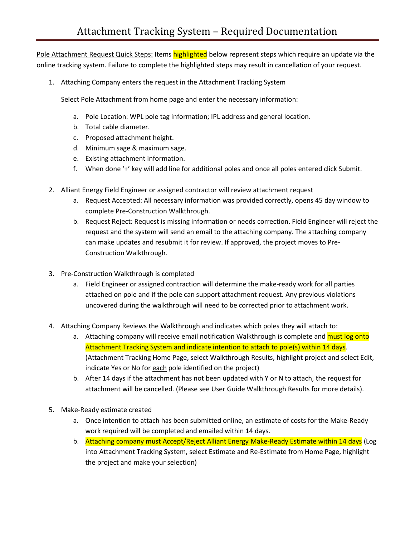Pole Attachment Request Quick Steps: Items highlighted below represent steps which require an update via the online tracking system. Failure to complete the highlighted steps may result in cancellation of your request.

1. Attaching Company enters the request in the Attachment Tracking System

Select Pole Attachment from home page and enter the necessary information:

- a. Pole Location: WPL pole tag information; IPL address and general location.
- b. Total cable diameter.
- c. Proposed attachment height.
- d. Minimum sage & maximum sage.
- e. Existing attachment information.
- f. When done '+' key will add line for additional poles and once all poles entered click Submit.
- 2. Alliant Energy Field Engineer or assigned contractor will review attachment request
	- a. Request Accepted: All necessary information was provided correctly, opens 45 day window to complete Pre-Construction Walkthrough.
	- b. Request Reject: Request is missing information or needs correction. Field Engineer will reject the request and the system will send an email to the attaching company. The attaching company can make updates and resubmit it for review. If approved, the project moves to Pre-Construction Walkthrough.
- 3. Pre-Construction Walkthrough is completed
	- a. Field Engineer or assigned contraction will determine the make-ready work for all parties attached on pole and if the pole can support attachment request. Any previous violations uncovered during the walkthrough will need to be corrected prior to attachment work.
- 4. Attaching Company Reviews the Walkthrough and indicates which poles they will attach to:
	- a. Attaching company will receive email notification Walkthrough is complete and must log onto Attachment Tracking System and indicate intention to attach to pole(s) within 14 days. (Attachment Tracking Home Page, select Walkthrough Results, highlight project and select Edit, indicate Yes or No for each pole identified on the project)
	- b. After 14 days if the attachment has not been updated with Y or N to attach, the request for attachment will be cancelled. (Please see User Guide Walkthrough Results for more details).
- 5. Make-Ready estimate created
	- a. Once intention to attach has been submitted online, an estimate of costs for the Make-Ready work required will be completed and emailed within 14 days.
	- b. Attaching company must Accept/Reject Alliant Energy Make-Ready Estimate within 14 days (Log into Attachment Tracking System, select Estimate and Re-Estimate from Home Page, highlight the project and make your selection)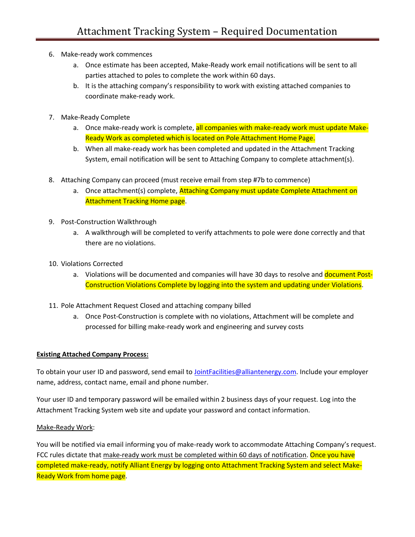- 6. Make-ready work commences
	- a. Once estimate has been accepted, Make-Ready work email notifications will be sent to all parties attached to poles to complete the work within 60 days.
	- b. It is the attaching company's responsibility to work with existing attached companies to coordinate make-ready work.
- 7. Make-Ready Complete
	- a. Once make-ready work is complete, all companies with make-ready work must update Make-Ready Work as completed which is located on Pole Attachment Home Page.
	- b. When all make-ready work has been completed and updated in the Attachment Tracking System, email notification will be sent to Attaching Company to complete attachment(s).
- 8. Attaching Company can proceed (must receive email from step #7b to commence)
	- a. Once attachment(s) complete, Attaching Company must update Complete Attachment on **Attachment Tracking Home page.**
- 9. Post-Construction Walkthrough
	- a. A walkthrough will be completed to verify attachments to pole were done correctly and that there are no violations.
- 10. Violations Corrected
	- a. Violations will be documented and companies will have 30 days to resolve and document Post-Construction Violations Complete by logging into the system and updating under Violations.
- 11. Pole Attachment Request Closed and attaching company billed
	- a. Once Post-Construction is complete with no violations, Attachment will be complete and processed for billing make-ready work and engineering and survey costs

### **Existing Attached Company Process:**

To obtain your user ID and password, send email to JointFacilities[@alliantenergy.com. In](mailto:JointFacilities@alliantenergy.com)clude your employer name, address, contact name, email and phone number.

Your user ID and temporary password will be emailed within 2 business days of your request. Log into the Attachment Tracking System web site and update your password and contact information.

### Make-Ready Work:

You will be notified via email informing you of make-ready work to accommodate Attaching Company's request. FCC rules dictate that make-ready work must be completed within 60 days of notification. Once you have completed make-ready, notify Alliant Energy by logging onto Attachment Tracking System and select Make-Ready Work from home page.